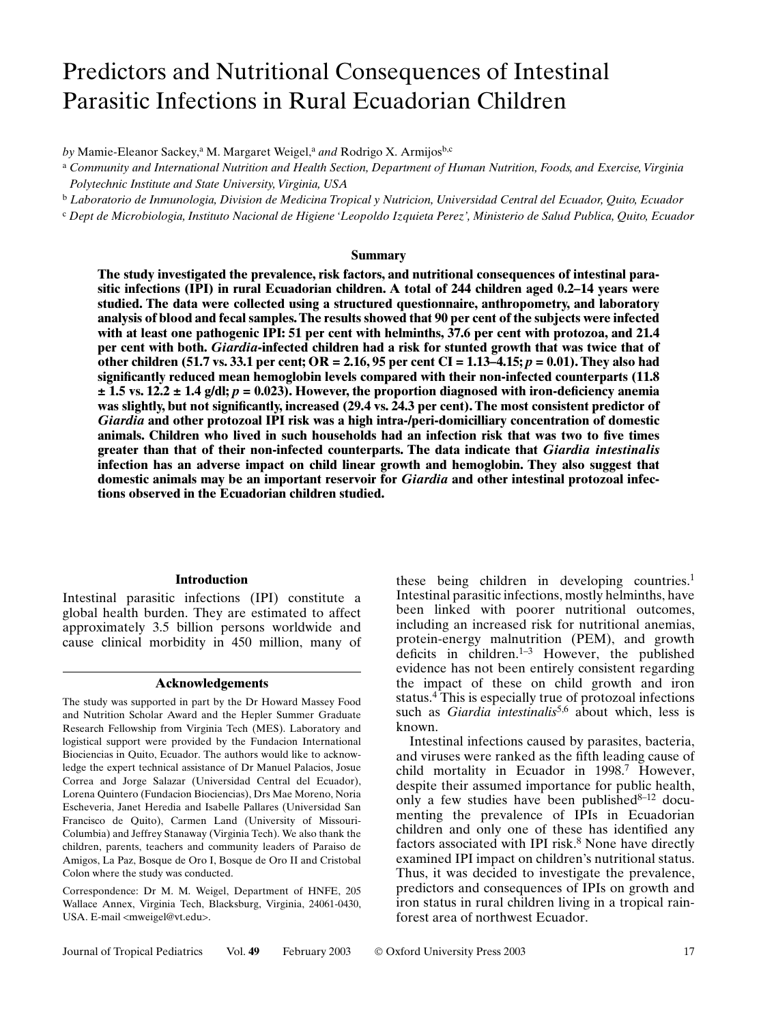# Predictors and Nutritional Consequences of Intestinal Parasitic Infections in Rural Ecuadorian Children

*by* Mamie-Eleanor Sackey,<sup>a</sup> M. Margaret Weigel,<sup>a</sup> and Rodrigo X. Armijos<sup>b,c</sup>

<sup>a</sup> *Community and International Nutrition and Health Section, Department of Human Nutrition, Foods, and Exercise, Virginia Polytechnic Institute and State University, Virginia, USA*

<sup>b</sup> *Laboratorio de Inmunologia, Division de Medicina Tropical y Nutricion, Universidad Central del Ecuador, Quito, Ecuador*

<sup>c</sup> *Dept de Microbiologia, Instituto Nacional de Higiene 'Leopoldo Izquieta Perez', Ministerio de Salud Publica, Quito, Ecuador*

#### **Summary**

**The study investigated the prevalence, risk factors, and nutritional consequences of intestinal parasitic infections (IPI) in rural Ecuadorian children. A total of 244 children aged 0.2–14 years were studied. The data were collected using a structured questionnaire, anthropometry, and laboratory analysis of blood and fecal samples. The results showed that 90 per cent of the subjects were infected** with at least one pathogenic IPI: 51 per cent with helminths, 37.6 per cent with protozoa, and 21.4 **per cent with both.** *Giardia***-infected children had a risk for stunted growth that was twice that of other children (51.7 vs. 33.1 per cent; OR = 2.16, 95 per cent CI = 1.13–4.15;** *p* **= 0.01). They also had significantly reduced mean hemoglobin levels compared with their non-infected counterparts (11.8**  $\pm$  1.5 vs. 12.2  $\pm$  1.4 g/dl;  $p = 0.023$ ). However, the proportion diagnosed with iron-deficiency anemia **was slightly, but not significantly, increased (29.4 vs. 24.3 per cent). The most consistent predictor of** *Giardia* **and other protozoal IPI risk was a high intra-/peri-domicilliary concentration of domestic animals. Children who lived in such households had an infection risk that was two to five times greater than that of their non-infected counterparts. The data indicate that** *Giardia intestinalis* **infection has an adverse impact on child linear growth and hemoglobin. They also suggest that domestic animals may be an important reservoir for** *Giardia* **and other intestinal protozoal infections observed in the Ecuadorian children studied.**

## **Introduction**

Intestinal parasitic infections (IPI) constitute a global health burden. They are estimated to affect approximately 3.5 billion persons worldwide and cause clinical morbidity in 450 million, many of

#### **Acknowledgements**

The study was supported in part by the Dr Howard Massey Food and Nutrition Scholar Award and the Hepler Summer Graduate Research Fellowship from Virginia Tech (MES). Laboratory and logistical support were provided by the Fundacion International Biociencias in Quito, Ecuador. The authors would like to acknowledge the expert technical assistance of Dr Manuel Palacios, Josue Correa and Jorge Salazar (Universidad Central del Ecuador), Lorena Quintero (Fundacion Biociencias), Drs Mae Moreno, Noria Escheveria, Janet Heredia and Isabelle Pallares (Universidad San Francisco de Quito), Carmen Land (University of Missouri-Columbia) and Jeffrey Stanaway (Virginia Tech). We also thank the children, parents, teachers and community leaders of Paraiso de Amigos, La Paz, Bosque de Oro I, Bosque de Oro II and Cristobal Colon where the study was conducted.

Correspondence: Dr M. M. Weigel, Department of HNFE, 205 Wallace Annex, Virginia Tech, Blacksburg, Virginia, 24061-0430, USA. E-mail <mweigel@vt.edu>.

these being children in developing countries.<sup>1</sup> Intestinal parasitic infections, mostly helminths, have been linked with poorer nutritional outcomes, including an increased risk for nutritional anemias, protein-energy malnutrition (PEM), and growth deficits in children.<sup>1-3</sup> However, the published evidence has not been entirely consistent regarding the impact of these on child growth and iron status.4 This is especially true of protozoal infections such as *Giardia intestinalis*5,6 about which, less is known.

Intestinal infections caused by parasites, bacteria, and viruses were ranked as the fifth leading cause of child mortality in Ecuador in 1998.<sup>7</sup> However, despite their assumed importance for public health, only a few studies have been published $8-12$  documenting the prevalence of IPIs in Ecuadorian children and only one of these has identified any factors associated with IPI risk.<sup>8</sup> None have directly examined IPI impact on children's nutritional status. Thus, it was decided to investigate the prevalence, predictors and consequences of IPIs on growth and iron status in rural children living in a tropical rainforest area of northwest Ecuador.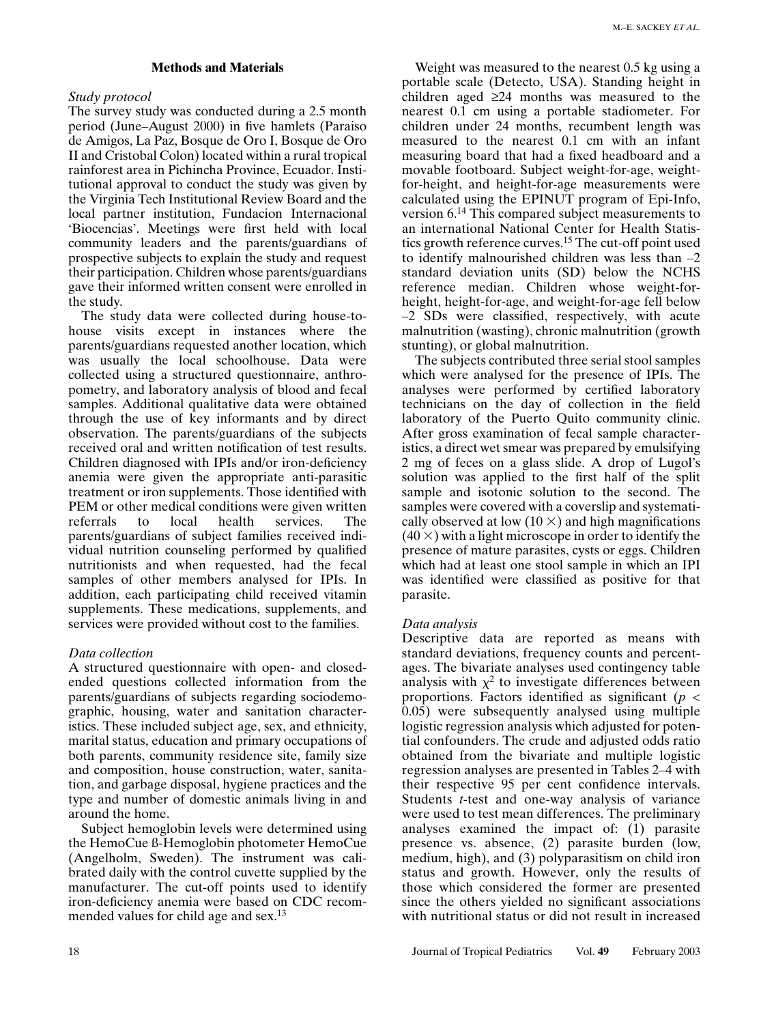# **Methods and Materials**

## *Study protocol*

The survey study was conducted during a 2.5 month period (June–August 2000) in five hamlets (Paraiso de Amigos, La Paz, Bosque de Oro I, Bosque de Oro II and Cristobal Colon) located within a rural tropical rainforest area in Pichincha Province, Ecuador. Institutional approval to conduct the study was given by the Virginia Tech Institutional Review Board and the local partner institution, Fundacion Internacional 'Biocencias'. Meetings were first held with local community leaders and the parents/guardians of prospective subjects to explain the study and request their participation. Children whose parents/guardians gave their informed written consent were enrolled in the study.

The study data were collected during house-tohouse visits except in instances where the parents/guardians requested another location, which was usually the local schoolhouse. Data were collected using a structured questionnaire, anthropometry, and laboratory analysis of blood and fecal samples. Additional qualitative data were obtained through the use of key informants and by direct observation. The parents/guardians of the subjects received oral and written notification of test results. Children diagnosed with IPIs and/or iron-deficiency anemia were given the appropriate anti-parasitic treatment or iron supplements. Those identified with PEM or other medical conditions were given written<br>referrals to local health services. The referrals to local health services. The parents/guardians of subject families received individual nutrition counseling performed by qualified nutritionists and when requested, had the fecal samples of other members analysed for IPIs. In addition, each participating child received vitamin supplements. These medications, supplements, and services were provided without cost to the families.

# *Data collection*

A structured questionnaire with open- and closedended questions collected information from the parents/guardians of subjects regarding sociodemographic, housing, water and sanitation characteristics. These included subject age, sex, and ethnicity, marital status, education and primary occupations of both parents, community residence site, family size and composition, house construction, water, sanitation, and garbage disposal, hygiene practices and the type and number of domestic animals living in and around the home.

Subject hemoglobin levels were determined using the HemoCue ß-Hemoglobin photometer HemoCue (Angelholm, Sweden). The instrument was calibrated daily with the control cuvette supplied by the manufacturer. The cut-off points used to identify iron-deficiency anemia were based on CDC recommended values for child age and sex.13

Weight was measured to the nearest 0.5 kg using a portable scale (Detecto, USA). Standing height in children aged ≥24 months was measured to the nearest 0.1 cm using a portable stadiometer. For children under 24 months, recumbent length was measured to the nearest 0.1 cm with an infant measuring board that had a fixed headboard and a movable footboard. Subject weight-for-age, weightfor-height, and height-for-age measurements were calculated using the EPINUT program of Epi-Info, version 6.14 This compared subject measurements to an international National Center for Health Statistics growth reference curves.15 The cut-off point used to identify malnourished children was less than –2 standard deviation units (SD) below the NCHS reference median. Children whose weight-forheight, height-for-age, and weight-for-age fell below –2 SDs were classified, respectively, with acute malnutrition (wasting), chronic malnutrition (growth stunting), or global malnutrition.

The subjects contributed three serial stool samples which were analysed for the presence of IPIs. The analyses were performed by certified laboratory technicians on the day of collection in the field laboratory of the Puerto Quito community clinic. After gross examination of fecal sample characteristics, a direct wet smear was prepared by emulsifying 2 mg of feces on a glass slide. A drop of Lugol's solution was applied to the first half of the split sample and isotonic solution to the second. The samples were covered with a coverslip and systematically observed at low  $(10 \times)$  and high magnifications  $(40 \times)$  with a light microscope in order to identify the presence of mature parasites, cysts or eggs. Children which had at least one stool sample in which an IPI was identified were classified as positive for that parasite.

# *Data analysis*

Descriptive data are reported as means with standard deviations, frequency counts and percentages. The bivariate analyses used contingency table analysis with  $\chi^2$  to investigate differences between proportions. Factors identified as significant (*p* < 0.05) were subsequently analysed using multiple logistic regression analysis which adjusted for potential confounders. The crude and adjusted odds ratio obtained from the bivariate and multiple logistic regression analyses are presented in Tables 2–4 with their respective 95 per cent confidence intervals. Students *t*-test and one-way analysis of variance were used to test mean differences. The preliminary analyses examined the impact of: (1) parasite presence vs. absence, (2) parasite burden (low, medium, high), and (3) polyparasitism on child iron status and growth. However, only the results of those which considered the former are presented since the others yielded no significant associations with nutritional status or did not result in increased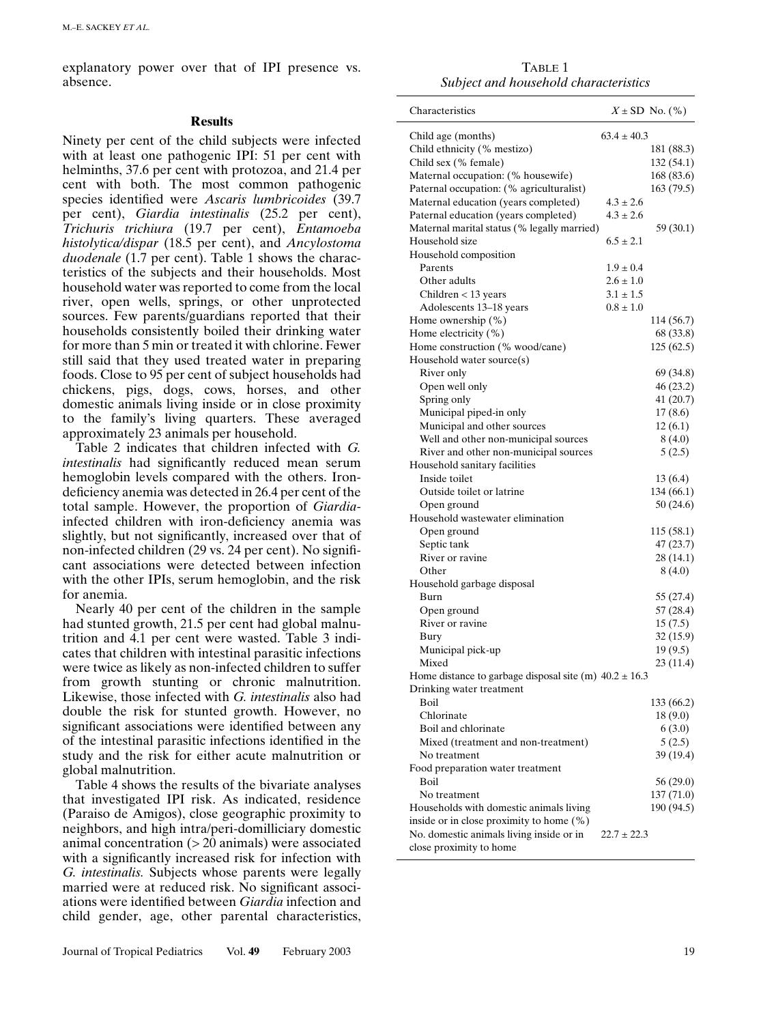explanatory power over that of IPI presence vs. absence.

#### **Results**

Ninety per cent of the child subjects were infected with at least one pathogenic IPI: 51 per cent with helminths, 37.6 per cent with protozoa, and 21.4 per cent with both. The most common pathogenic species identified were *Ascaris lumbricoides* (39.7 per cent), *Giardia intestinalis* (25.2 per cent), *Trichuris trichiura* (19.7 per cent), *Entamoeba histolytica/dispar* (18.5 per cent), and *Ancylostoma duodenale* (1.7 per cent). Table 1 shows the characteristics of the subjects and their households. Most household water was reported to come from the local river, open wells, springs, or other unprotected sources. Few parents/guardians reported that their households consistently boiled their drinking water for more than 5 min or treated it with chlorine. Fewer still said that they used treated water in preparing foods. Close to 95 per cent of subject households had chickens, pigs, dogs, cows, horses, and other domestic animals living inside or in close proximity to the family's living quarters. These averaged approximately 23 animals per household.

Table 2 indicates that children infected with *G. intestinalis* had significantly reduced mean serum hemoglobin levels compared with the others. Irondeficiency anemia was detected in 26.4 per cent of the total sample. However, the proportion of *Giardia*infected children with iron-deficiency anemia was slightly, but not significantly, increased over that of non-infected children (29 vs. 24 per cent). No significant associations were detected between infection with the other IPIs, serum hemoglobin, and the risk for anemia.

Nearly 40 per cent of the children in the sample had stunted growth, 21.5 per cent had global malnutrition and 4.1 per cent were wasted. Table 3 indicates that children with intestinal parasitic infections were twice as likely as non-infected children to suffer from growth stunting or chronic malnutrition. Likewise, those infected with *G. intestinalis* also had double the risk for stunted growth. However, no significant associations were identified between any of the intestinal parasitic infections identified in the study and the risk for either acute malnutrition or global malnutrition.

Table 4 shows the results of the bivariate analyses that investigated IPI risk. As indicated, residence (Paraiso de Amigos), close geographic proximity to neighbors, and high intra/peri-domilliciary domestic animal concentration (> 20 animals) were associated with a significantly increased risk for infection with *G. intestinalis.* Subjects whose parents were legally married were at reduced risk. No significant associations were identified between *Giardia* infection and child gender, age, other parental characteristics,

TABLE 1 *Subject and household characteristics*

| Characteristics                                            |                 | $X \pm SD$ No. (%) |
|------------------------------------------------------------|-----------------|--------------------|
| Child age (months)                                         | $63.4 \pm 40.3$ |                    |
| Child ethnicity (% mestizo)                                |                 | 181 (88.3)         |
| Child sex (% female)                                       |                 | 132 (54.1)         |
| Maternal occupation: (% housewife)                         |                 | 168 (83.6)         |
| Paternal occupation: (% agriculturalist)                   |                 | 163 (79.5)         |
| Maternal education (years completed)                       | $4.3 \pm 2.6$   |                    |
| Paternal education (years completed)                       | $4.3 \pm 2.6$   |                    |
| Maternal marital status (% legally married)                |                 | 59 (30.1)          |
| Household size                                             | $6.5 \pm 2.1$   |                    |
| Household composition                                      |                 |                    |
| Parents                                                    | $1.9 \pm 0.4$   |                    |
| Other adults                                               | $2.6 \pm 1.0$   |                    |
| Children $<$ 13 years                                      | $3.1 \pm 1.5$   |                    |
| Adolescents 13-18 years                                    | $0.8 \pm 1.0$   |                    |
| Home ownership (%)                                         |                 | 114 (56.7)         |
| Home electricity (%)                                       |                 | 68 (33.8)          |
|                                                            |                 |                    |
| Home construction (% wood/cane)                            |                 | 125 (62.5)         |
| Household water source(s)                                  |                 |                    |
| River only                                                 |                 | 69 (34.8)          |
| Open well only                                             |                 | 46 (23.2)          |
| Spring only                                                |                 | 41 (20.7)          |
| Municipal piped-in only                                    |                 | 17(8.6)            |
| Municipal and other sources                                |                 | 12(6.1)            |
| Well and other non-municipal sources                       |                 | 8(4.0)             |
| River and other non-municipal sources                      |                 | 5(2.5)             |
| Household sanitary facilities                              |                 |                    |
| Inside toilet                                              |                 | 13(6.4)            |
| Outside toilet or latrine                                  |                 | 134 (66.1)         |
| Open ground                                                |                 | 50 (24.6)          |
| Household wastewater elimination                           |                 |                    |
| Open ground                                                |                 | 115(58.1)          |
| Septic tank                                                |                 | 47 (23.7)          |
| River or ravine                                            |                 | 28 (14.1)          |
| Other                                                      |                 | 8(4.0)             |
| Household garbage disposal                                 |                 |                    |
| Burn                                                       |                 | 55 (27.4)          |
| Open ground                                                |                 | 57 (28.4)          |
| River or ravine                                            |                 | 15 (7.5)           |
| Bury                                                       |                 | 32 (15.9)          |
| Municipal pick-up                                          |                 | 19(9.5)            |
| Mixed                                                      |                 | 23 (11.4)          |
| Home distance to garbage disposal site (m) $40.2 \pm 16.3$ |                 |                    |
| Drinking water treatment                                   |                 |                    |
| Boil                                                       |                 | 133 (66.2)         |
| Chlorinate                                                 |                 | 18(9.0)            |
| Boil and chlorinate                                        |                 | 6(3.0)             |
| Mixed (treatment and non-treatment)                        |                 | 5(2.5)             |
| No treatment                                               |                 | 39 (19.4)          |
| Food preparation water treatment                           |                 |                    |
| Boil                                                       |                 | 56 (29.0)          |
| No treatment                                               |                 | 137 (71.0)         |
| Households with domestic animals living                    |                 | 190 (94.5)         |
| inside or in close proximity to home (%)                   |                 |                    |
| No. domestic animals living inside or in                   | $22.7 \pm 22.3$ |                    |
| close proximity to home                                    |                 |                    |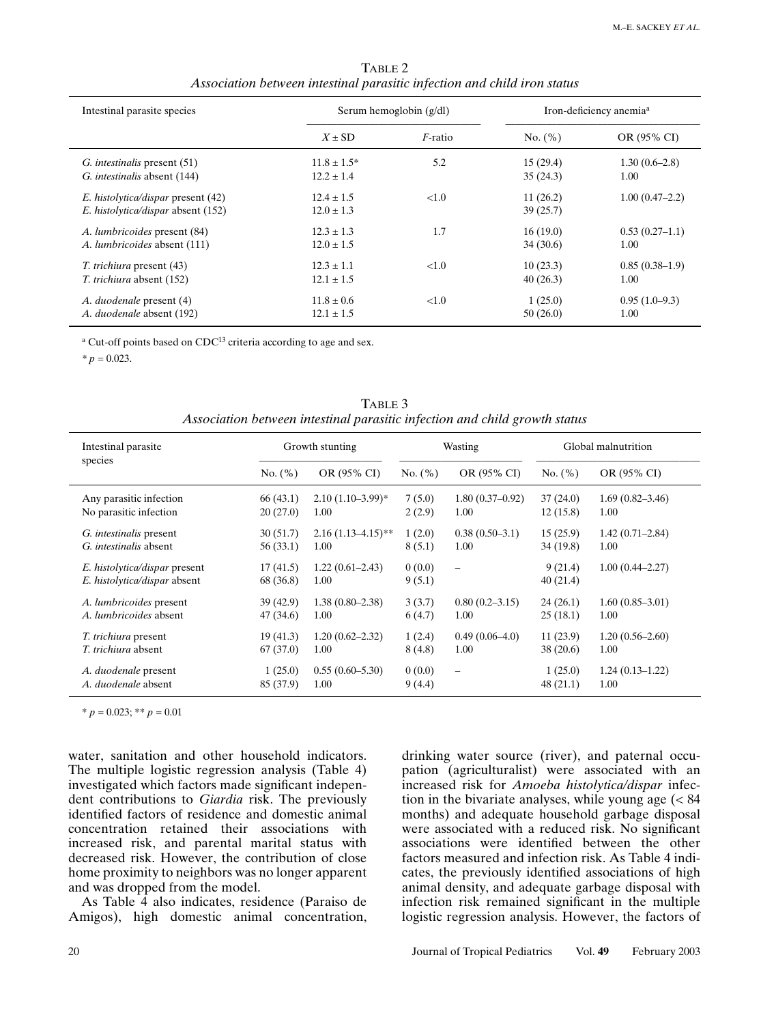| Intestinal parasite species         | Serum hemoglobin $(g/dl)$ |         | Iron-deficiency anemia <sup>a</sup> |                  |  |
|-------------------------------------|---------------------------|---------|-------------------------------------|------------------|--|
|                                     | $X \pm SD$                | F-ratio | No. (%)                             | OR (95% CI)      |  |
| G. <i>intestinalis</i> present (51) | $11.8 + 1.5*$             | 5.2     | 15(29.4)                            | $1.30(0.6-2.8)$  |  |
| G. intestinalis absent (144)        | $12.2 + 1.4$              |         | 35(24.3)                            | 1.00             |  |
| E. histolytica/dispar present (42)  | $12.4 + 1.5$              | <1.0    | 11(26.2)                            | $1.00(0.47-2.2)$ |  |
| E. histolytica/dispar absent (152)  | $12.0 + 1.3$              |         | 39(25.7)                            |                  |  |
| A. lumbricoides present (84)        | $12.3 + 1.3$              | 1.7     | 16(19.0)                            | $0.53(0.27-1.1)$ |  |
| A. lumbricoides absent (111)        | $12.0 + 1.5$              |         | 34(30.6)                            | 1.00             |  |
| <i>T. trichiura</i> present (43)    | $12.3 + 1.1$              | <1.0    | 10(23.3)                            | $0.85(0.38-1.9)$ |  |
| T. trichiura absent (152)           | $12.1 + 1.5$              |         | 40(26.3)                            | 1.00             |  |
| A. duodenale present (4)            | $11.8 + 0.6$              | <1.0    | 1(25.0)                             | $0.95(1.0-9.3)$  |  |
| A. duodenale absent (192)           | $12.1 + 1.5$              |         | 50(26.0)                            | 1.00             |  |

TABLE 2 *Association between intestinal parasitic infection and child iron status*

 $^{\rm a}$  Cut-off points based on CDC<sup>13</sup> criteria according to age and sex.

 $* p = 0.023$ .

| 1 issociadon ocinéen intestina parastite infection ana entita $\zeta$ i on in status |                       |                           |                  |                          |                     |                     |
|--------------------------------------------------------------------------------------|-----------------------|---------------------------|------------------|--------------------------|---------------------|---------------------|
| Intestinal parasite<br>species                                                       |                       | Growth stunting           |                  | Wasting                  |                     | Global malnutrition |
|                                                                                      | No. (%)               | OR (95% CI)               | No. (%)          | OR (95% CI)              | No. (%)             | OR (95% CI)         |
| Any parasitic infection                                                              | 66(43.1)              | $2.10(1.10-3.99)*$        | 7(5.0)           | $1.80(0.37-0.92)$        | 37(24.0)            | $1.69(0.82 - 3.46)$ |
| No parasitic infection                                                               | 20(27.0)              | 1.00                      | 2(2.9)           | 1.00                     | 12(15.8)            | 1.00                |
| G. intestinalis present                                                              | 30(51.7)              | $2.16(1.13 - 4.15)$ **    | 1(2.0)           | $0.38(0.50-3.1)$         | 15(25.9)            | $1.42(0.71 - 2.84)$ |
| G. intestinalis absent                                                               | 56 (33.1)             | 1.00                      | 8(5.1)           | 1.00                     | 34 (19.8)           | 1.00                |
| E. histolytica/dispar present<br>E. histolytica/dispar absent                        | 17(41.5)<br>68 (36.8) | $1.22(0.61-2.43)$<br>1.00 | 0(0.0)<br>9(5.1) | $\overline{\phantom{m}}$ | 9(21.4)<br>40(21.4) | $1.00(0.44 - 2.27)$ |
| A. lumbricoides present                                                              | 39 (42.9)             | $1.38(0.80 - 2.38)$       | 3(3.7)           | $0.80(0.2 - 3.15)$       | 24(26.1)            | $1.60(0.85 - 3.01)$ |
| A. lumbricoides absent                                                               | 47 (34.6)             | 1.00                      | 6(4.7)           | 1.00                     | 25(18.1)            | 1.00                |
| T. trichiura present                                                                 | 19(41.3)              | $1.20(0.62 - 2.32)$       | 1(2.4)           | $0.49(0.06-4.0)$         | 11(23.9)            | $1.20(0.56-2.60)$   |
| T. trichiura absent                                                                  | 67(37.0)              | 1.00                      | 8(4.8)           | 1.00                     | 38 (20.6)           | 1.00                |
| A. duodenale present                                                                 | 1(25.0)               | $0.55(0.60 - 5.30)$       | 0(0.0)           | $\qquad \qquad -$        | 1(25.0)             | $1.24(0.13-1.22)$   |
| A. duodenale absent                                                                  | 85 (37.9)             | 1.00                      | 9(4.4)           |                          | 48(21.1)            | 1.00                |

TABLE 3 *Association between intestinal parasitic infection and child growth status*

 $* p = 0.023$ ; \*\*  $p = 0.01$ 

water, sanitation and other household indicators. The multiple logistic regression analysis (Table 4) investigated which factors made significant independent contributions to *Giardia* risk. The previously identified factors of residence and domestic animal concentration retained their associations with increased risk, and parental marital status with decreased risk. However, the contribution of close home proximity to neighbors was no longer apparent and was dropped from the model.

As Table 4 also indicates, residence (Paraiso de Amigos), high domestic animal concentration, drinking water source (river), and paternal occupation (agriculturalist) were associated with an increased risk for *Amoeba histolytica/dispar* infection in the bivariate analyses, while young age  $\approx 84$ months) and adequate household garbage disposal were associated with a reduced risk. No significant associations were identified between the other factors measured and infection risk. As Table 4 indicates, the previously identified associations of high animal density, and adequate garbage disposal with infection risk remained significant in the multiple logistic regression analysis. However, the factors of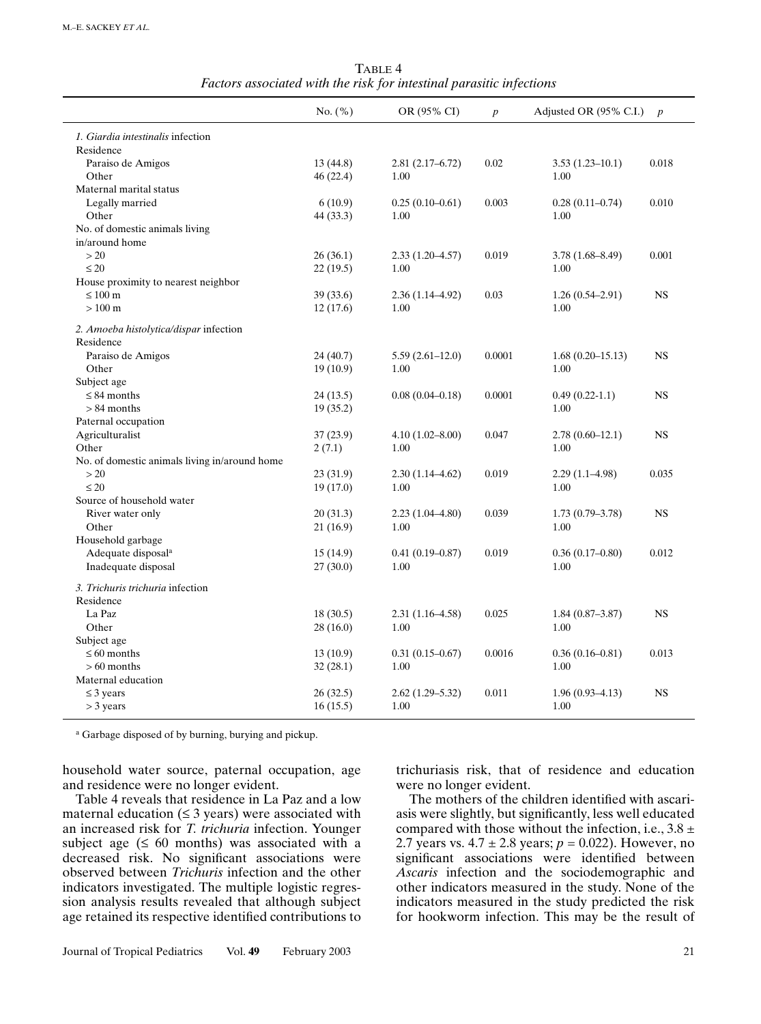|                                               | No. (%)   | OR (95% CI)         | Adjusted OR (95% C.I.)<br>$\overline{p}$<br>$\boldsymbol{p}$ |                     |           |
|-----------------------------------------------|-----------|---------------------|--------------------------------------------------------------|---------------------|-----------|
| 1. Giardia intestinalis infection             |           |                     |                                                              |                     |           |
| Residence                                     |           |                     |                                                              |                     |           |
| Paraiso de Amigos                             | 13 (44.8) | 2.81 (2.17–6.72)    | 0.02                                                         | $3.53(1.23 - 10.1)$ | 0.018     |
| Other                                         | 46 (22.4) | 1.00                |                                                              | 1.00                |           |
| Maternal marital status                       |           |                     |                                                              |                     |           |
| Legally married                               | 6(10.9)   | $0.25(0.10-0.61)$   | 0.003                                                        | $0.28(0.11-0.74)$   | 0.010     |
| Other                                         | 44 (33.3) | 1.00                |                                                              | 1.00                |           |
| No. of domestic animals living                |           |                     |                                                              |                     |           |
| in/around home                                |           |                     |                                                              |                     |           |
| >20                                           | 26(36.1)  | 2.33 (1.20–4.57)    | 0.019                                                        | $3.78(1.68 - 8.49)$ | 0.001     |
| $\leq 20$                                     | 22(19.5)  | 1.00                |                                                              | 1.00                |           |
| House proximity to nearest neighbor           |           |                     |                                                              |                     |           |
| $\leq 100$ m                                  | 39 (33.6) | 2.36 (1.14–4.92)    | 0.03                                                         | $1.26(0.54 - 2.91)$ | NS        |
| $>100 \text{ m}$                              | 12(17.6)  | 1.00                |                                                              | 1.00                |           |
| 2. Amoeba histolytica/dispar infection        |           |                     |                                                              |                     |           |
| Residence                                     |           |                     |                                                              |                     |           |
| Paraiso de Amigos                             | 24(40.7)  | $5.59(2.61-12.0)$   | 0.0001                                                       | $1.68(0.20-15.13)$  | <b>NS</b> |
| Other                                         | 19(10.9)  | 1.00                |                                                              | 1.00                |           |
| Subject age                                   |           |                     |                                                              |                     |           |
| $\leq 84$ months                              | 24(13.5)  | $0.08(0.04 - 0.18)$ | 0.0001                                                       | $0.49(0.22-1.1)$    | NS        |
| $> 84$ months                                 | 19(35.2)  |                     |                                                              | 1.00                |           |
| Paternal occupation                           |           |                     |                                                              |                     |           |
| Agriculturalist                               | 37(23.9)  | $4.10(1.02 - 8.00)$ | 0.047                                                        | $2.78(0.60-12.1)$   | NS        |
| Other                                         | 2(7.1)    | 1.00                |                                                              | 1.00                |           |
| No. of domestic animals living in/around home |           |                     |                                                              |                     |           |
| >20                                           | 23(31.9)  | 2.30 (1.14–4.62)    | 0.019                                                        | $2.29(1.1-4.98)$    | 0.035     |
| ${}_{20}$                                     | 19(17.0)  | 1.00                |                                                              | 1.00                |           |
| Source of household water                     |           |                     |                                                              |                     |           |
| River water only                              | 20(31.3)  | 2.23 (1.04-4.80)    | 0.039                                                        | $1.73(0.79 - 3.78)$ | <b>NS</b> |
| Other                                         | 21(16.9)  | 1.00                |                                                              | 1.00                |           |
| Household garbage                             |           |                     |                                                              |                     |           |
| Adequate disposal <sup>a</sup>                | 15(14.9)  | $0.41(0.19 - 0.87)$ | 0.019                                                        | $0.36(0.17-0.80)$   | 0.012     |
| Inadequate disposal                           | 27(30.0)  | 1.00                |                                                              | 1.00                |           |
| 3. Trichuris trichuria infection              |           |                     |                                                              |                     |           |
| Residence                                     |           |                     |                                                              |                     |           |
| La Paz                                        | 18(30.5)  | 2.31 (1.16–4.58)    | 0.025                                                        | $1.84(0.87-3.87)$   | <b>NS</b> |
| Other                                         | 28(16.0)  | 1.00                |                                                              | 1.00                |           |
| Subject age                                   |           |                     |                                                              |                     |           |
| $\leq 60$ months                              | 13(10.9)  | $0.31(0.15-0.67)$   | 0.0016                                                       | $0.36(0.16 - 0.81)$ | 0.013     |
| $>60$ months                                  | 32(28.1)  | 1.00                |                                                              | 1.00                |           |
| Maternal education                            |           |                     |                                                              |                     |           |
| $\leq$ 3 years                                | 26(32.5)  | 2.62 (1.29–5.32)    | 0.011                                                        | $1.96(0.93 - 4.13)$ | <b>NS</b> |
| $>$ 3 years                                   | 16(15.5)  | 1.00                |                                                              | 1.00                |           |

 $T$ ABIE  $4$ *Factors associated with the risk for intestinal parasitic infections*

<sup>a</sup> Garbage disposed of by burning, burying and pickup.

household water source, paternal occupation, age and residence were no longer evident.

Table 4 reveals that residence in La Paz and a low maternal education ( $\leq$  3 years) were associated with an increased risk for *T. trichuria* infection. Younger subject age ( $\leq 60$  months) was associated with a decreased risk. No significant associations were observed between *Trichuris* infection and the other indicators investigated. The multiple logistic regression analysis results revealed that although subject age retained its respective identified contributions to

trichuriasis risk, that of residence and education were no longer evident.

The mothers of the children identified with ascariasis were slightly, but significantly, less well educated compared with those without the infection, i.e.,  $3.8 \pm$ 2.7 years vs.  $4.7 \pm 2.8$  years;  $p = 0.022$ ). However, no significant associations were identified between *Ascaris* infection and the sociodemographic and other indicators measured in the study. None of the indicators measured in the study predicted the risk for hookworm infection. This may be the result of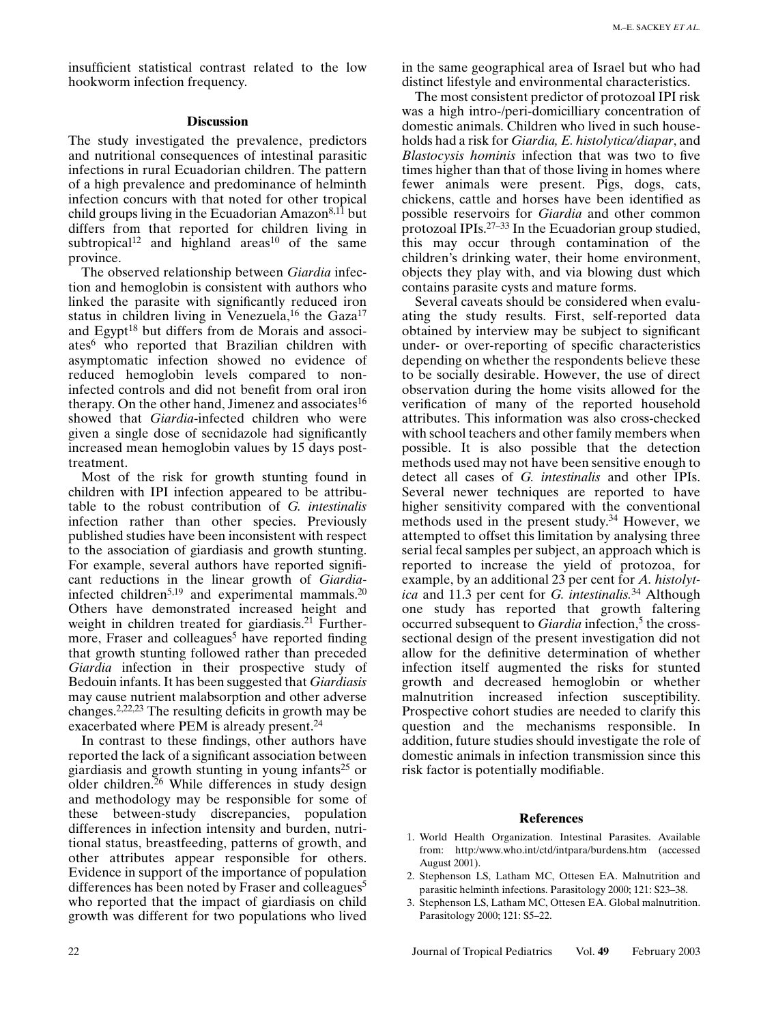insufficient statistical contrast related to the low hookworm infection frequency.

#### **Discussion**

The study investigated the prevalence, predictors and nutritional consequences of intestinal parasitic infections in rural Ecuadorian children. The pattern of a high prevalence and predominance of helminth infection concurs with that noted for other tropical child groups living in the Ecuadorian Amazon<sup>8,11</sup> but differs from that reported for children living in subtropical<sup>12</sup> and highland areas<sup>10</sup> of the same province.

The observed relationship between *Giardia* infection and hemoglobin is consistent with authors who linked the parasite with significantly reduced iron status in children living in Venezuela,<sup>16</sup> the Gaza<sup>17</sup> and Egypt $18$  but differs from de Morais and associates6 who reported that Brazilian children with asymptomatic infection showed no evidence of reduced hemoglobin levels compared to noninfected controls and did not benefit from oral iron therapy. On the other hand, Jimenez and associates<sup>16</sup> showed that *Giardia*-infected children who were given a single dose of secnidazole had significantly increased mean hemoglobin values by 15 days posttreatment.

Most of the risk for growth stunting found in children with IPI infection appeared to be attributable to the robust contribution of *G. intestinalis* infection rather than other species. Previously published studies have been inconsistent with respect to the association of giardiasis and growth stunting. For example, several authors have reported significant reductions in the linear growth of *Giardia*infected children<sup>5,19</sup> and experimental mammals.<sup>20</sup> Others have demonstrated increased height and weight in children treated for giardiasis.<sup>21</sup> Furthermore, Fraser and colleagues<sup>5</sup> have reported finding that growth stunting followed rather than preceded *Giardia* infection in their prospective study of Bedouin infants. It has been suggested that *Giardiasis* may cause nutrient malabsorption and other adverse changes.2,22,23 The resulting deficits in growth may be exacerbated where PEM is already present.<sup>24</sup>

In contrast to these findings, other authors have reported the lack of a significant association between giardiasis and growth stunting in young infants<sup>25</sup> or older children.26 While differences in study design and methodology may be responsible for some of these between-study discrepancies, population differences in infection intensity and burden, nutritional status, breastfeeding, patterns of growth, and other attributes appear responsible for others. Evidence in support of the importance of population differences has been noted by Fraser and colleagues<sup>5</sup> who reported that the impact of giardiasis on child growth was different for two populations who lived in the same geographical area of Israel but who had distinct lifestyle and environmental characteristics.

The most consistent predictor of protozoal IPI risk was a high intro-/peri-domicilliary concentration of domestic animals. Children who lived in such households had a risk for *Giardia, E. histolytica/diapar*, and *Blastocysis hominis* infection that was two to five times higher than that of those living in homes where fewer animals were present. Pigs, dogs, cats, chickens, cattle and horses have been identified as possible reservoirs for *Giardia* and other common protozoal IPIs. $27-33$  In the Ecuadorian group studied, this may occur through contamination of the children's drinking water, their home environment, objects they play with, and via blowing dust which contains parasite cysts and mature forms.

Several caveats should be considered when evaluating the study results. First, self-reported data obtained by interview may be subject to significant under- or over-reporting of specific characteristics depending on whether the respondents believe these to be socially desirable. However, the use of direct observation during the home visits allowed for the verification of many of the reported household attributes. This information was also cross-checked with school teachers and other family members when possible. It is also possible that the detection methods used may not have been sensitive enough to detect all cases of *G. intestinalis* and other IPIs. Several newer techniques are reported to have higher sensitivity compared with the conventional methods used in the present study.34 However, we attempted to offset this limitation by analysing three serial fecal samples per subject, an approach which is reported to increase the yield of protozoa, for example, by an additional 23 per cent for *A. histolytica* and 11.3 per cent for *G. intestinalis.*<sup>34</sup> Although one study has reported that growth faltering occurred subsequent to *Giardia* infection,<sup>5</sup> the crosssectional design of the present investigation did not allow for the definitive determination of whether infection itself augmented the risks for stunted growth and decreased hemoglobin or whether malnutrition increased infection susceptibility. Prospective cohort studies are needed to clarify this question and the mechanisms responsible. In addition, future studies should investigate the role of domestic animals in infection transmission since this risk factor is potentially modifiable.

#### **References**

- 1. World Health Organization. Intestinal Parasites. Available from: http:/www.who.int/ctd/intpara/burdens.htm (accessed August 2001).
- 2. Stephenson LS, Latham MC, Ottesen EA. Malnutrition and parasitic helminth infections. Parasitology 2000; 121: S23–38.
- 3. Stephenson LS, Latham MC, Ottesen EA. Global malnutrition. Parasitology 2000; 121: S5–22.